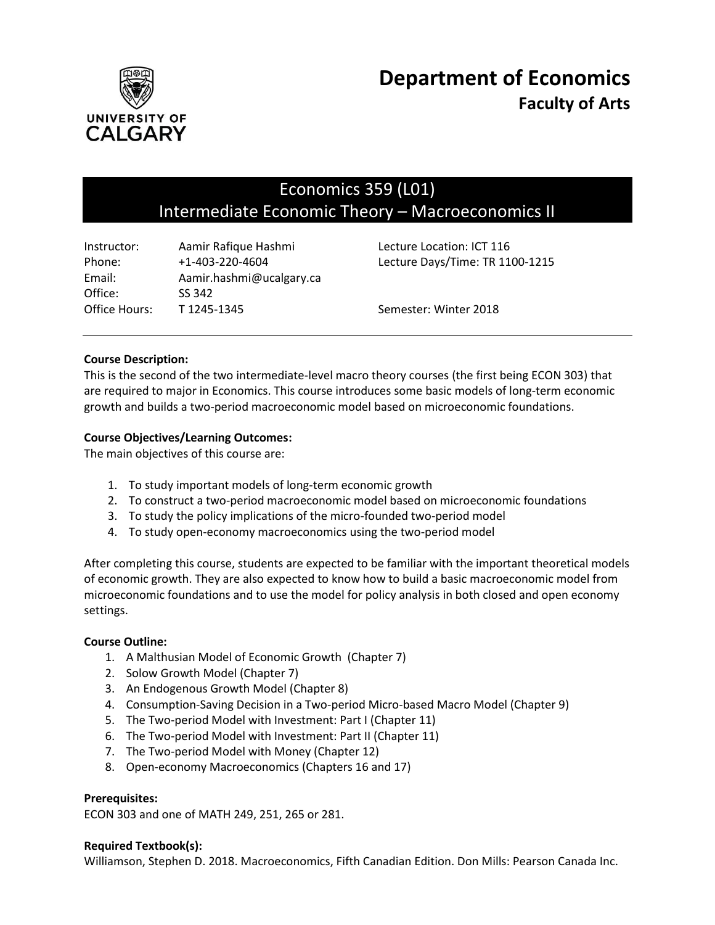

# Economics 359 (L01) Intermediate Economic Theory – Macroeconomics II

| Instructor:   | Aamir Rafique Hashmi     | Lecture Location: ICT 116       |
|---------------|--------------------------|---------------------------------|
| Phone:        | $+1 - 403 - 220 - 4604$  | Lecture Days/Time: TR 1100-1215 |
| Email:        | Aamir.hashmi@ucalgary.ca |                                 |
| Office:       | SS 342                   |                                 |
| Office Hours: | T 1245-1345              | Semester: Winter 2018           |

## **Course Description:**

This is the second of the two intermediate-level macro theory courses (the first being ECON 303) that are required to major in Economics. This course introduces some basic models of long-term economic growth and builds a two-period macroeconomic model based on microeconomic foundations.

## **Course Objectives/Learning Outcomes:**

The main objectives of this course are:

- 1. To study important models of long-term economic growth
- 2. To construct a two-period macroeconomic model based on microeconomic foundations
- 3. To study the policy implications of the micro-founded two-period model
- 4. To study open-economy macroeconomics using the two-period model

After completing this course, students are expected to be familiar with the important theoretical models of economic growth. They are also expected to know how to build a basic macroeconomic model from microeconomic foundations and to use the model for policy analysis in both closed and open economy settings.

#### **Course Outline:**

- 1. A Malthusian Model of Economic Growth (Chapter 7)
- 2. Solow Growth Model (Chapter 7)
- 3. An Endogenous Growth Model (Chapter 8)
- 4. Consumption-Saving Decision in a Two-period Micro-based Macro Model (Chapter 9)
- 5. The Two-period Model with Investment: Part I (Chapter 11)
- 6. The Two-period Model with Investment: Part II (Chapter 11)
- 7. The Two-period Model with Money (Chapter 12)
- 8. Open-economy Macroeconomics (Chapters 16 and 17)

#### **Prerequisites:**

ECON 303 and one of MATH 249, 251, 265 or 281.

#### **Required Textbook(s):**

Williamson, Stephen D. 2018. Macroeconomics, Fifth Canadian Edition. Don Mills: Pearson Canada Inc.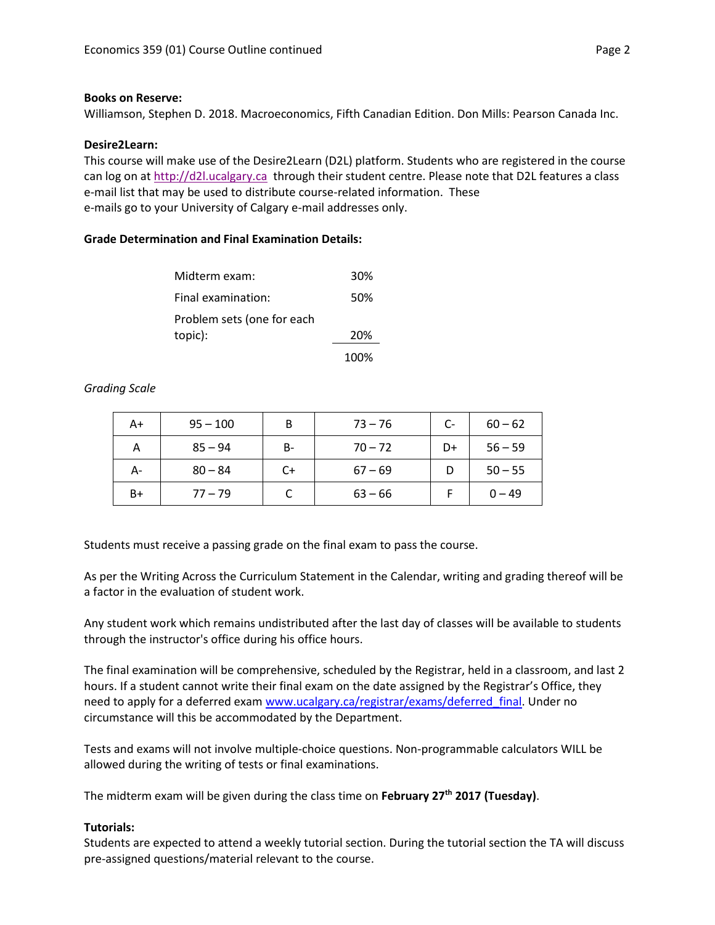#### **Books on Reserve:**

Williamson, Stephen D. 2018. Macroeconomics, Fifth Canadian Edition. Don Mills: Pearson Canada Inc.

#### **Desire2Learn:**

This course will make use of the Desire2Learn (D2L) platform. Students who are registered in the course can log on a[t http://d2l.ucalgary.ca](http://d2l.ucalgary.ca/) through their student centre. Please note that D2L features a class e-mail list that may be used to distribute course-related information. These e-mails go to your University of Calgary e-mail addresses only.

#### **Grade Determination and Final Examination Details:**

| Midterm exam:              | 30% |
|----------------------------|-----|
| Final examination:         | 50% |
| Problem sets (one for each |     |
| topic):                    | 20% |
|                            |     |

100%

#### *Grading Scale*

| A+   | $95 - 100$ | B     | $73 - 76$ | $C-$ | $60 - 62$ |
|------|------------|-------|-----------|------|-----------|
| А    | $85 - 94$  | $B -$ | $70 - 72$ | D+   | $56 - 59$ |
| А-   | $80 - 84$  | $C+$  | $67 - 69$ |      | $50 - 55$ |
| $B+$ | $77 - 79$  |       | $63 - 66$ |      | $0 - 49$  |

Students must receive a passing grade on the final exam to pass the course.

As per the Writing Across the Curriculum Statement in the Calendar, writing and grading thereof will be a factor in the evaluation of student work.

Any student work which remains undistributed after the last day of classes will be available to students through the instructor's office during his office hours.

The final examination will be comprehensive, scheduled by the Registrar, held in a classroom, and last 2 hours. If a student cannot write their final exam on the date assigned by the Registrar's Office, they need to apply for a deferred exam [www.ucalgary.ca/registrar/exams/deferred\\_final.](http://www.ucalgary.ca/registrar/exams/deferred_final) Under no circumstance will this be accommodated by the Department.

Tests and exams will not involve multiple-choice questions. Non-programmable calculators WILL be allowed during the writing of tests or final examinations.

The midterm exam will be given during the class time on **February 27th 2017 (Tuesday)**.

#### **Tutorials:**

Students are expected to attend a weekly tutorial section. During the tutorial section the TA will discuss pre-assigned questions/material relevant to the course.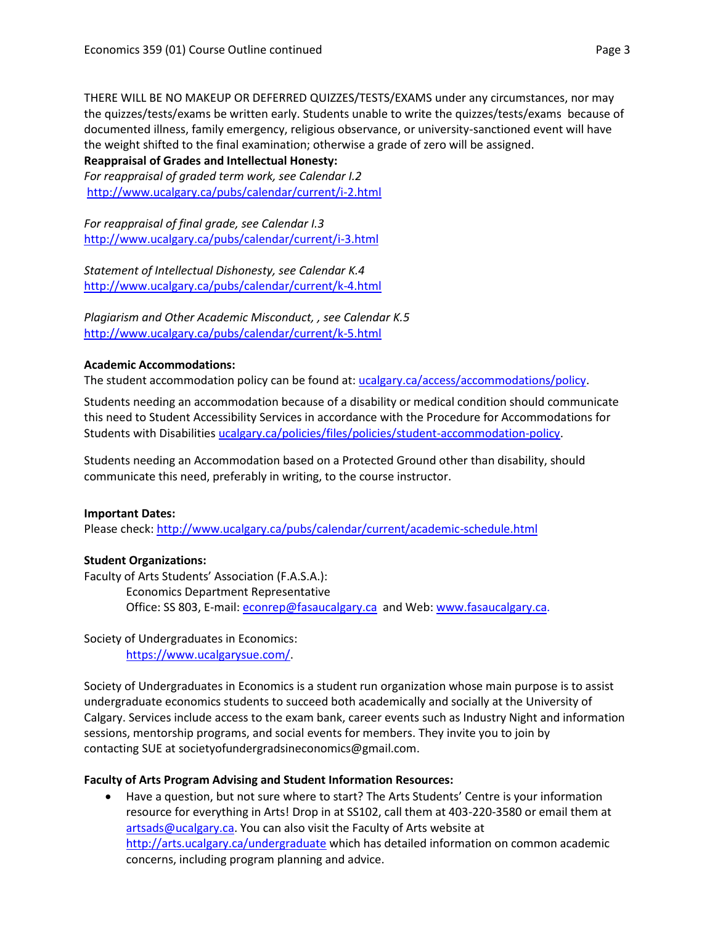THERE WILL BE NO MAKEUP OR DEFERRED QUIZZES/TESTS/EXAMS under any circumstances, nor may the quizzes/tests/exams be written early. Students unable to write the quizzes/tests/exams because of documented illness, family emergency, religious observance, or university-sanctioned event will have the weight shifted to the final examination; otherwise a grade of zero will be assigned.

## **Reappraisal of Grades and Intellectual Honesty:**

*For reappraisal of graded term work, see Calendar I.2* <http://www.ucalgary.ca/pubs/calendar/current/i-2.html>

*For reappraisal of final grade, see Calendar I.3* <http://www.ucalgary.ca/pubs/calendar/current/i-3.html>

*Statement of Intellectual Dishonesty, see Calendar K.4* <http://www.ucalgary.ca/pubs/calendar/current/k-4.html>

*Plagiarism and Other Academic Misconduct, , see Calendar K.5* <http://www.ucalgary.ca/pubs/calendar/current/k-5.html>

## **Academic Accommodations:**

The student accommodation policy can be found at: [ucalgary.ca/access/accommodations/policy.](http://www.ucalgary.ca/access/accommodations/policy)

Students needing an accommodation because of a disability or medical condition should communicate this need to Student Accessibility Services in accordance with the Procedure for Accommodations for Students with Disabilities [ucalgary.ca/policies/files/policies/student-accommodation-policy.](http://www.ucalgary.ca/policies/files/policies/student-accommodation-policy.pdf)

Students needing an Accommodation based on a Protected Ground other than disability, should communicate this need, preferably in writing, to the course instructor.

# **Important Dates:**

Please check:<http://www.ucalgary.ca/pubs/calendar/current/academic-schedule.html>

# **Student Organizations:**

Faculty of Arts Students' Association (F.A.S.A.):

Economics Department Representative Office: SS 803, E-mail: [econrep@fasaucalgary.ca](mailto:econrep@fasaucalgary.ca) and Web[: www.fasaucalgary.ca.](http://www.fasaucalgary.ca/)

Society of Undergraduates in Economics: [https://www.ucalgarysue.com/.](https://www.ucalgarysue.com/)

Society of Undergraduates in Economics is a student run organization whose main purpose is to assist undergraduate economics students to succeed both academically and socially at the University of Calgary. Services include access to the exam bank, career events such as Industry Night and information sessions, mentorship programs, and social events for members. They invite you to join by contacting SUE at societyofundergradsineconomics@gmail.com.

# **Faculty of Arts Program Advising and Student Information Resources:**

 Have a question, but not sure where to start? The Arts Students' Centre is your information resource for everything in Arts! Drop in at SS102, call them at 403-220-3580 or email them at [artsads@ucalgary.ca.](mailto:artsads@ucalgary.ca) You can also visit the Faculty of Arts website at <http://arts.ucalgary.ca/undergraduate> which has detailed information on common academic concerns, including program planning and advice.